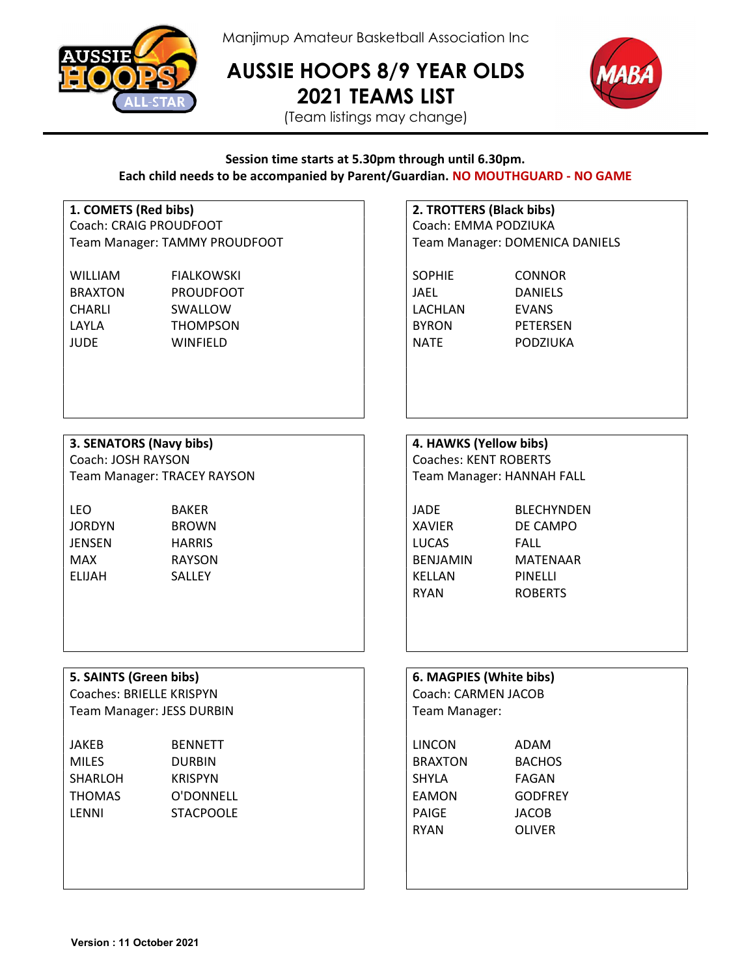

Manjimup Amateur Basketball Association Inc

AUSSIE HOOPS 8/9 YEAR OLDS 2021 TEAMS LIST



(Team listings may change)

## Session time starts at 5.30pm through until 6.30pm. Each child needs to be accompanied by Parent/Guardian. NO MOUTHGUARD - NO GAME

Coach: CRAIG PROUDFOOT Coach: EMMA PODZIUKA Team Manager: TAMMY PROUDFOOT Team Manager: DOMENICA DANIELS

WILLIAM FIALKOWSKI SOPHIE CONNOR BRAXTON PROUDFOOT **I** JAEL DANIELS CHARLI SWALLOW | LACHLAN EVANS LAYLA THOMPSON BYRON PETERSEN JUDE WINFIELD NATE PODZIUKA

1. COMETS (Red bibs) 2. TROTTERS (Black bibs)

## 3. SENATORS (Navy bibs) 4. HAWKS (Yellow bibs)

Coach: JOSH RAYSON Coaches: KENT ROBERTS Team Manager: TRACEY RAYSON Team Manager: HANNAH FALL

LEO BAKER JADE BLECHYNDEN JORDYN BROWN  $\vert$   $\vert$  XAVIER DE CAMPO JENSEN HARRIS LUCAS FALL MAX RAYSON BENJAMIN MATENAAR ELIJAH SALLEY KELLAN PINELLI

RYAN ROBERTS

# 5. SAINTS (Green bibs) 6. MAGPIES (Green bibs)

Coaches: BRIELLE KRISPYN COAChes: CARMEN JACOB Team Manager: JESS DURBIN

| JAKEB   | <b>BENNETT</b>   | LINCON         | ADAM          |
|---------|------------------|----------------|---------------|
| MILES   | <b>DURBIN</b>    | <b>BRAXTON</b> | <b>BACHOS</b> |
| SHARLOH | <b>KRISPYN</b>   | SHYLA          | FAGAN         |
| THOMAS  | O'DONNELL        | EAMON          | GODFREY       |
| LENNI   | <b>STACPOOLE</b> | PAIGE          | JACOB         |
|         |                  | ------         |               |

| 6. MAGPIES (White bibs) |                |
|-------------------------|----------------|
| Coach: CARMEN JACOB     |                |
| Team Manager:           |                |
|                         |                |
| LINCON                  | ADAM           |
| <b>BRAXTON</b>          | <b>BACHOS</b>  |
| SHYLA                   | FAGAN          |
| EAMON                   | <b>GODFREY</b> |
| PAIGE                   | JACOB          |
| RYAN                    | OLIVER         |
|                         |                |